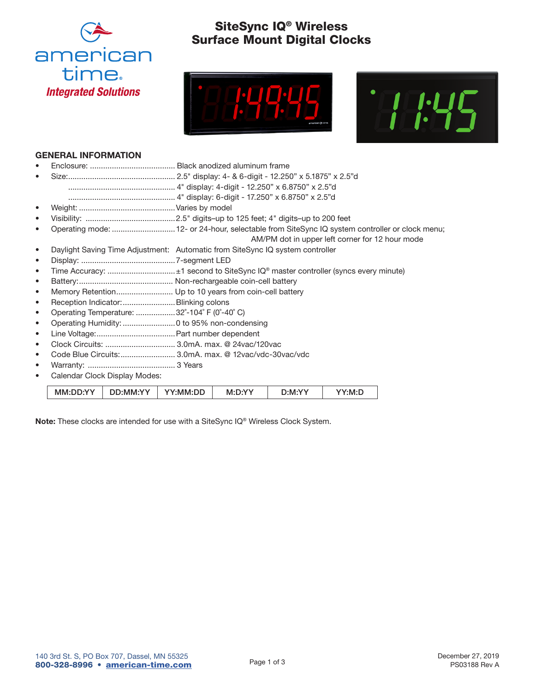

# SiteSync IQ® Wireless Surface Mount Digital Clocks





### GENERAL INFORMATION

| ٠         |                                              |                                                                                              |
|-----------|----------------------------------------------|----------------------------------------------------------------------------------------------|
| ٠         |                                              | Operating mode: 12- or 24-hour, selectable from SiteSync IQ system controller or clock menu; |
|           |                                              | AM/PM dot in upper left corner for 12 hour mode                                              |
|           |                                              | Daylight Saving Time Adjustment: Automatic from SiteSync IQ system controller                |
| $\bullet$ |                                              |                                                                                              |
| ٠         |                                              |                                                                                              |
| $\bullet$ |                                              |                                                                                              |
| ٠         |                                              | Memory Retention Up to 10 years from coin-cell battery                                       |
| ٠         | Reception Indicator:  Blinking colons        |                                                                                              |
|           | Operating Temperature: 32°-104° F (0°-40° C) |                                                                                              |
| ٠         |                                              |                                                                                              |
| ٠         |                                              |                                                                                              |
| ٠         | Clock Circuits:  3.0mA. max. @ 24vac/120vac  |                                                                                              |
|           |                                              | Code Blue Circuits: 3.0mA. max. @ 12vac/vdc-30vac/vdc                                        |
|           |                                              |                                                                                              |
|           | Calendar Clock Display Modes:                |                                                                                              |

| MM∙l | DD:MM:YY | YY·MM·L | <b>NVV</b><br>- M∶′ | 10 N | 'NAL |
|------|----------|---------|---------------------|------|------|

Note: These clocks are intended for use with a SiteSync IQ® Wireless Clock System.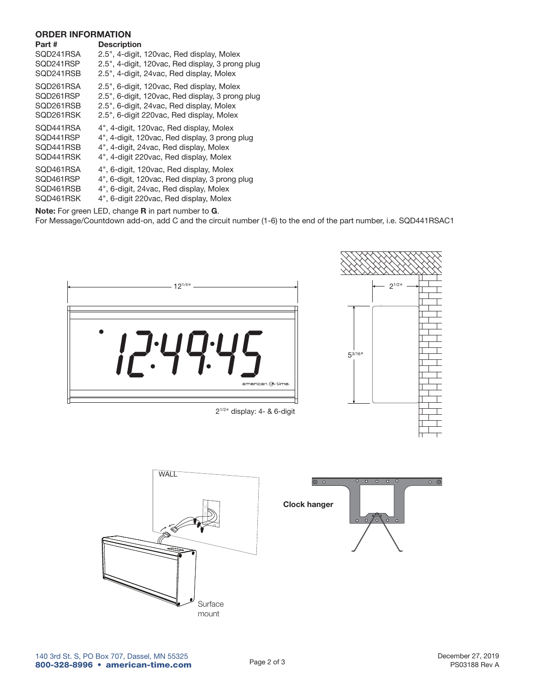#### ORDER INFORMATION

| <b>Description</b>                                                                                                                                                                     |
|----------------------------------------------------------------------------------------------------------------------------------------------------------------------------------------|
| 2.5", 4-digit, 120vac, Red display, Molex<br>2.5", 4-digit, 120vac, Red display, 3 prong plug<br>2.5", 4-digit, 24vac, Red display, Molex                                              |
| 2.5", 6-digit, 120vac, Red display, Molex<br>2.5", 6-digit, 120vac, Red display, 3 prong plug<br>2.5", 6-digit, 24 vac, Red display, Molex<br>2.5", 6-digit 220vac, Red display, Molex |
| 4", 4-digit, 120vac, Red display, Molex<br>4", 4-digit, 120vac, Red display, 3 prong plug<br>4", 4-digit, 24 vac, Red display, Molex<br>4", 4-digit 220vac, Red display, Molex         |
| 4", 6-digit, 120vac, Red display, Molex<br>4", 6-digit, 120vac, Red display, 3 prong plug<br>4", 6-digit, 24vac, Red display, Molex<br>4", 6-digit 220vac, Red display, Molex          |
|                                                                                                                                                                                        |

Note: For green LED, change R in part number to G.

For Message/Countdown add-on, add C and the circuit number (1-6) to the end of the part number, i.e. SQD441RSAC1



21/2" display: 4- & 6-digit